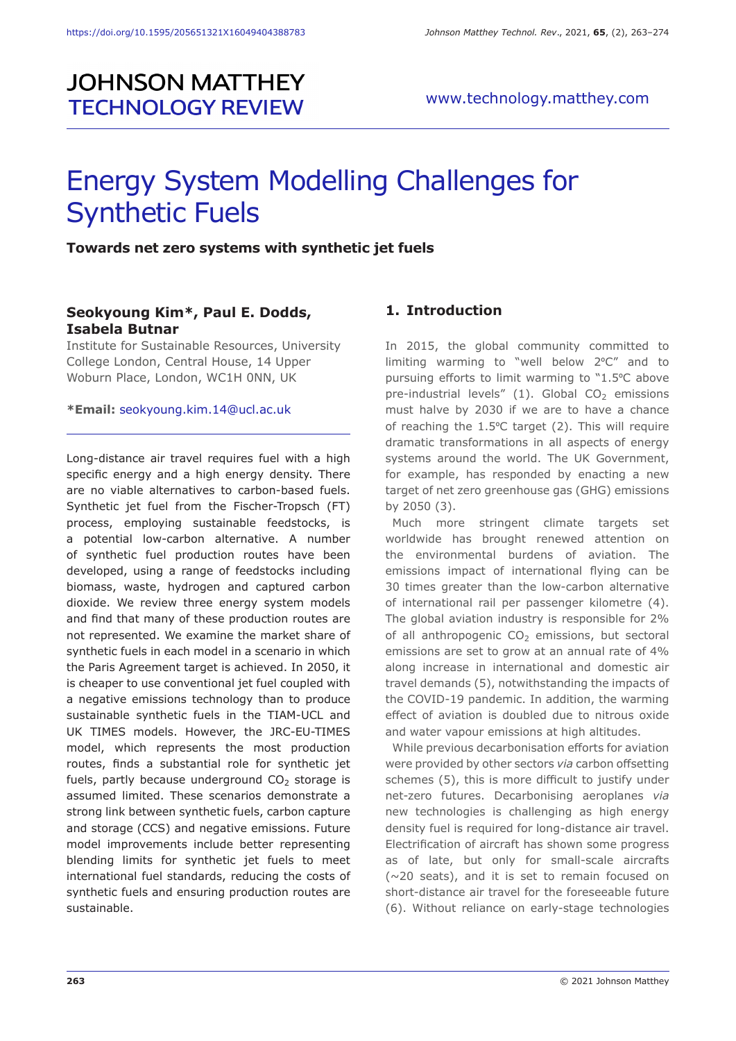# **JOHNSON MATTHEY TECHNOLOGY REVIEW**

# Energy System Modelling Challenges for Synthetic Fuels

#### **Towards net zero systems with synthetic jet fuels**

#### **Seokyoung Kim\*, Paul E. Dodds, Isabela Butnar**

Institute for Sustainable Resources, University College London, Central House, 14 Upper Woburn Place, London, WC1H 0NN, UK

#### **\*Email:** seokyoung.kim.14@ucl.ac.uk

Long-distance air travel requires fuel with a high specific energy and a high energy density. There are no viable alternatives to carbon-based fuels. Synthetic jet fuel from the Fischer-Tropsch (FT) process, employing sustainable feedstocks, is a potential low-carbon alternative. A number of synthetic fuel production routes have been developed, using a range of feedstocks including biomass, waste, hydrogen and captured carbon dioxide. We review three energy system models and find that many of these production routes are not represented. We examine the market share of synthetic fuels in each model in a scenario in which the Paris Agreement target is achieved. In 2050, it is cheaper to use conventional jet fuel coupled with a negative emissions technology than to produce sustainable synthetic fuels in the TIAM-UCL and UK TIMES models. However, the JRC-EU-TIMES model, which represents the most production routes, finds a substantial role for synthetic jet fuels, partly because underground  $CO<sub>2</sub>$  storage is assumed limited. These scenarios demonstrate a strong link between synthetic fuels, carbon capture and storage (CCS) and negative emissions. Future model improvements include better representing blending limits for synthetic jet fuels to meet international fuel standards, reducing the costs of synthetic fuels and ensuring production routes are sustainable.

# **1. Introduction**

In 2015, the global community committed to limiting warming to "well below 2ºC" and to pursuing efforts to limit warming to "1.5ºC above pre-industrial levels"  $(1)$ . Global CO<sub>2</sub> emissions must halve by 2030 if we are to have a chance of reaching the 1.5ºC target (2). This will require dramatic transformations in all aspects of energy systems around the world. The UK Government, for example, has responded by enacting a new target of net zero greenhouse gas (GHG) emissions by 2050 (3).

Much more stringent climate targets set worldwide has brought renewed attention on the environmental burdens of aviation. The emissions impact of international flying can be 30 times greater than the low-carbon alternative of international rail per passenger kilometre (4). The global aviation industry is responsible for 2% of all anthropogenic  $CO<sub>2</sub>$  emissions, but sectoral emissions are set to grow at an annual rate of 4% along increase in international and domestic air travel demands (5), notwithstanding the impacts of the COVID-19 pandemic. In addition, the warming effect of aviation is doubled due to nitrous oxide and water vapour emissions at high altitudes.

While previous decarbonisation efforts for aviation were provided by other sectors *via* carbon offsetting schemes (5), this is more difficult to justify under net-zero futures. Decarbonising aeroplanes *via* new technologies is challenging as high energy density fuel is required for long-distance air travel. Electrification of aircraft has shown some progress as of late, but only for small-scale aircrafts (~20 seats), and it is set to remain focused on short-distance air travel for the foreseeable future (6). Without reliance on early-stage technologies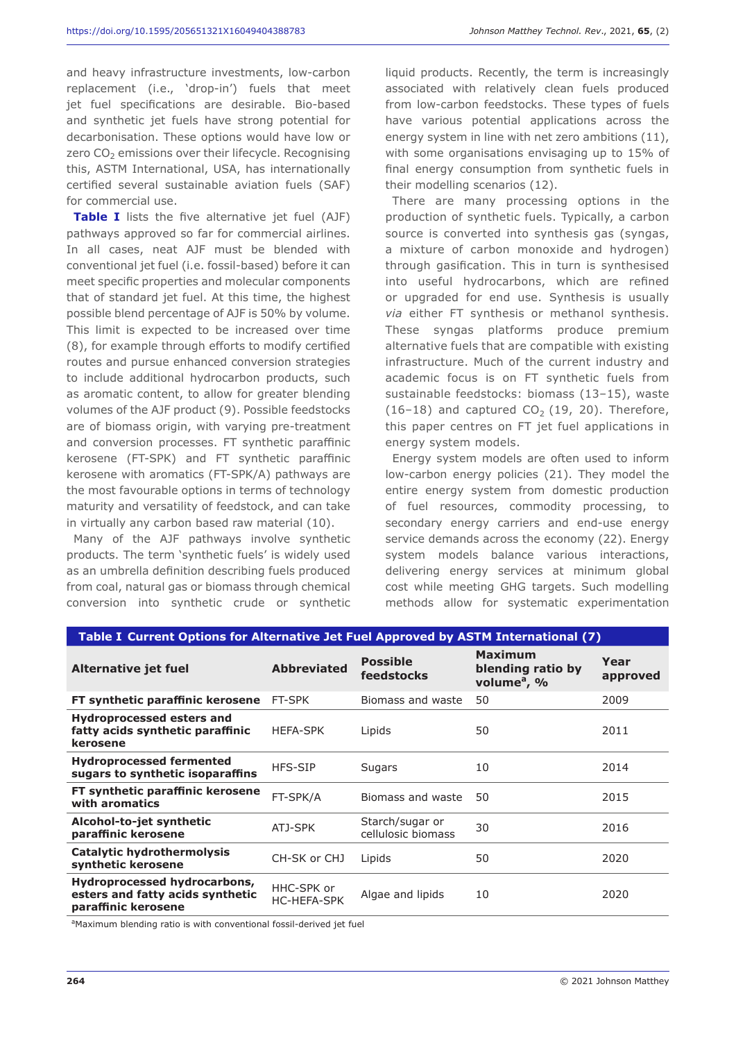and heavy infrastructure investments, low-carbon replacement (i.e., 'drop-in') fuels that meet jet fuel specifications are desirable. Bio-based and synthetic jet fuels have strong potential for decarbonisation. These options would have low or zero  $CO<sub>2</sub>$  emissions over their lifecycle. Recognising this, ASTM International, USA, has internationally certified several sustainable aviation fuels (SAF) for commercial use.

**Table I** lists the five alternative jet fuel (AJF) pathways approved so far for commercial airlines. In all cases, neat AJF must be blended with conventional jet fuel (i.e. fossil-based) before it can meet specific properties and molecular components that of standard jet fuel. At this time, the highest possible blend percentage of AJF is 50% by volume. This limit is expected to be increased over time (8), for example through efforts to modify certified routes and pursue enhanced conversion strategies to include additional hydrocarbon products, such as aromatic content, to allow for greater blending volumes of the AJF product (9). Possible feedstocks are of biomass origin, with varying pre-treatment and conversion processes. FT synthetic paraffinic kerosene (FT-SPK) and FT synthetic paraffinic kerosene with aromatics (FT-SPK/A) pathways are the most favourable options in terms of technology maturity and versatility of feedstock, and can take in virtually any carbon based raw material (10).

Many of the AJF pathways involve synthetic products. The term 'synthetic fuels' is widely used as an umbrella definition describing fuels produced from coal, natural gas or biomass through chemical conversion into synthetic crude or synthetic

liquid products. Recently, the term is increasingly associated with relatively clean fuels produced from low-carbon feedstocks. These types of fuels have various potential applications across the energy system in line with net zero ambitions (11), with some organisations envisaging up to 15% of final energy consumption from synthetic fuels in their modelling scenarios (12).

There are many processing options in the production of synthetic fuels. Typically, a carbon source is converted into synthesis gas (syngas, a mixture of carbon monoxide and hydrogen) through gasification. This in turn is synthesised into useful hydrocarbons, which are refined or upgraded for end use. Synthesis is usually *via* either FT synthesis or methanol synthesis. These syngas platforms produce premium alternative fuels that are compatible with existing infrastructure. Much of the current industry and academic focus is on FT synthetic fuels from sustainable feedstocks: biomass (13–15), waste (16-18) and captured  $CO<sub>2</sub>$  (19, 20). Therefore, this paper centres on FT jet fuel applications in energy system models.

Energy system models are often used to inform low-carbon energy policies (21). They model the entire energy system from domestic production of fuel resources, commodity processing, to secondary energy carriers and end-use energy service demands across the economy (22). Energy system models balance various interactions, delivering energy services at minimum global cost while meeting GHG targets. Such modelling methods allow for systematic experimentation

| Table I Current Options for Alternative Jet Fuel Approved by ASTM International (7)     |                                  |                                       |                                                                |                  |  |  |  |  |
|-----------------------------------------------------------------------------------------|----------------------------------|---------------------------------------|----------------------------------------------------------------|------------------|--|--|--|--|
| Alternative jet fuel                                                                    | <b>Abbreviated</b>               | <b>Possible</b><br>feedstocks         | <b>Maximum</b><br>blending ratio by<br>volume <sup>a</sup> , % | Year<br>approved |  |  |  |  |
| FT synthetic paraffinic kerosene                                                        | FT-SPK                           | Biomass and waste                     | 50                                                             | 2009             |  |  |  |  |
| <b>Hydroprocessed esters and</b><br>fatty acids synthetic paraffinic<br>kerosene        | <b>HEFA-SPK</b>                  | Lipids                                | 50                                                             | 2011             |  |  |  |  |
| <b>Hydroprocessed fermented</b><br>sugars to synthetic isoparaffins                     | HFS-SIP                          | <b>Sugars</b>                         | 10                                                             | 2014             |  |  |  |  |
| FT synthetic paraffinic kerosene<br>with aromatics                                      | FT-SPK/A                         | Biomass and waste                     | 50                                                             | 2015             |  |  |  |  |
| Alcohol-to-jet synthetic<br>paraffinic kerosene                                         | ATJ-SPK                          | Starch/sugar or<br>cellulosic biomass | 30                                                             | 2016             |  |  |  |  |
| <b>Catalytic hydrothermolysis</b><br>synthetic kerosene                                 | CH-SK or CHJ                     | Lipids                                | 50                                                             | 2020             |  |  |  |  |
| Hydroprocessed hydrocarbons,<br>esters and fatty acids synthetic<br>paraffinic kerosene | HHC-SPK or<br><b>HC-HEFA-SPK</b> | Algae and lipids                      | 10                                                             | 2020             |  |  |  |  |

aMaximum blending ratio is with conventional fossil-derived jet fuel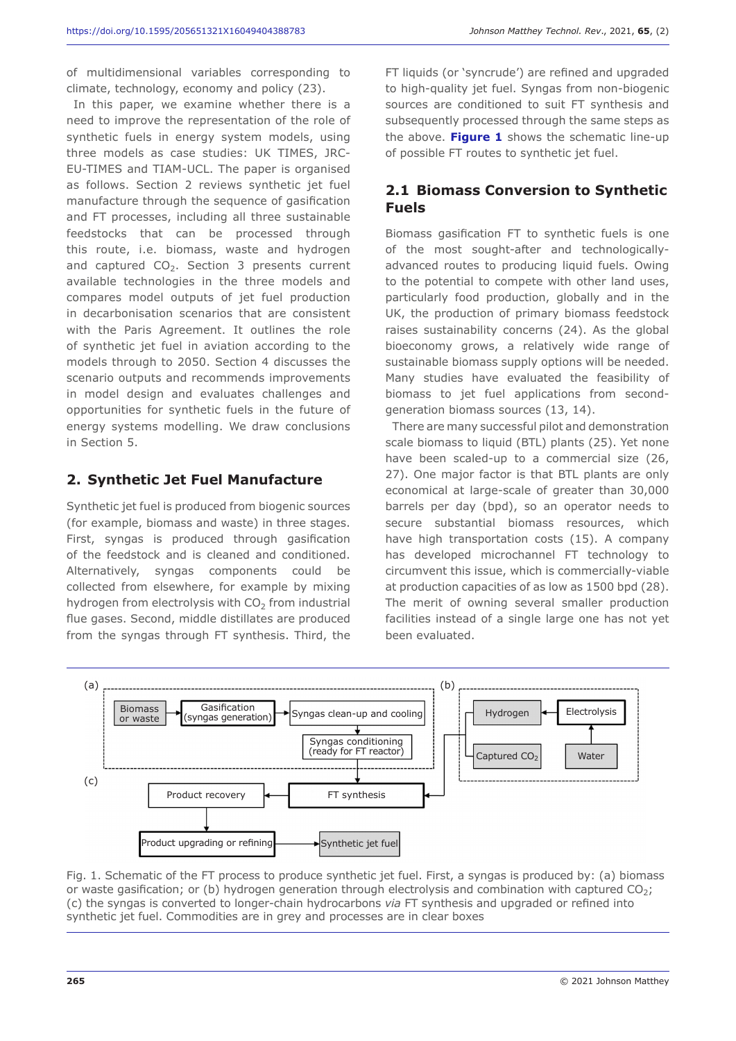of multidimensional variables corresponding to climate, technology, economy and policy (23).

In this paper, we examine whether there is a need to improve the representation of the role of synthetic fuels in energy system models, using three models as case studies: UK TIMES, JRC-EU-TIMES and TIAM-UCL. The paper is organised as follows. Section 2 reviews synthetic jet fuel manufacture through the sequence of gasification and FT processes, including all three sustainable feedstocks that can be processed through this route, i.e. biomass, waste and hydrogen and captured  $CO<sub>2</sub>$ . Section 3 presents current available technologies in the three models and compares model outputs of jet fuel production in decarbonisation scenarios that are consistent with the Paris Agreement. It outlines the role of synthetic jet fuel in aviation according to the models through to 2050. Section 4 discusses the scenario outputs and recommends improvements in model design and evaluates challenges and opportunities for synthetic fuels in the future of energy systems modelling. We draw conclusions in Section 5.

# **2. Synthetic Jet Fuel Manufacture**

Synthetic jet fuel is produced from biogenic sources (for example, biomass and waste) in three stages. First, syngas is produced through gasification of the feedstock and is cleaned and conditioned. Alternatively, syngas components could be collected from elsewhere, for example by mixing hydrogen from electrolysis with  $CO<sub>2</sub>$  from industrial flue gases. Second, middle distillates are produced from the syngas through FT synthesis. Third, the

FT liquids (or 'syncrude') are refined and upgraded to high-quality jet fuel. Syngas from non-biogenic sources are conditioned to suit FT synthesis and subsequently processed through the same steps as the above. **Figure 1** shows the schematic line-up of possible FT routes to synthetic jet fuel.

# **2.1 Biomass Conversion to Synthetic Fuels**

Biomass gasification FT to synthetic fuels is one of the most sought-after and technologicallyadvanced routes to producing liquid fuels. Owing to the potential to compete with other land uses, particularly food production, globally and in the UK, the production of primary biomass feedstock raises sustainability concerns (24). As the global bioeconomy grows, a relatively wide range of sustainable biomass supply options will be needed. Many studies have evaluated the feasibility of biomass to jet fuel applications from secondgeneration biomass sources (13, 14).

There are many successful pilot and demonstration scale biomass to liquid (BTL) plants (25). Yet none have been scaled-up to a commercial size (26, 27). One major factor is that BTL plants are only economical at large-scale of greater than 30,000 barrels per day (bpd), so an operator needs to secure substantial biomass resources, which have high transportation costs (15). A company has developed microchannel FT technology to circumvent this issue, which is commercially-viable at production capacities of as low as 1500 bpd (28). The merit of owning several smaller production facilities instead of a single large one has not yet been evaluated.



Fig. 1. Schematic of the FT process to produce synthetic jet fuel. First, a syngas is produced by: (a) biomass or waste gasification; or (b) hydrogen generation through electrolysis and combination with captured CO<sub>2</sub>; (c) the syngas is converted to longer-chain hydrocarbons *via* FT synthesis and upgraded or refined into synthetic jet fuel. Commodities are in grey and processes are in clear boxes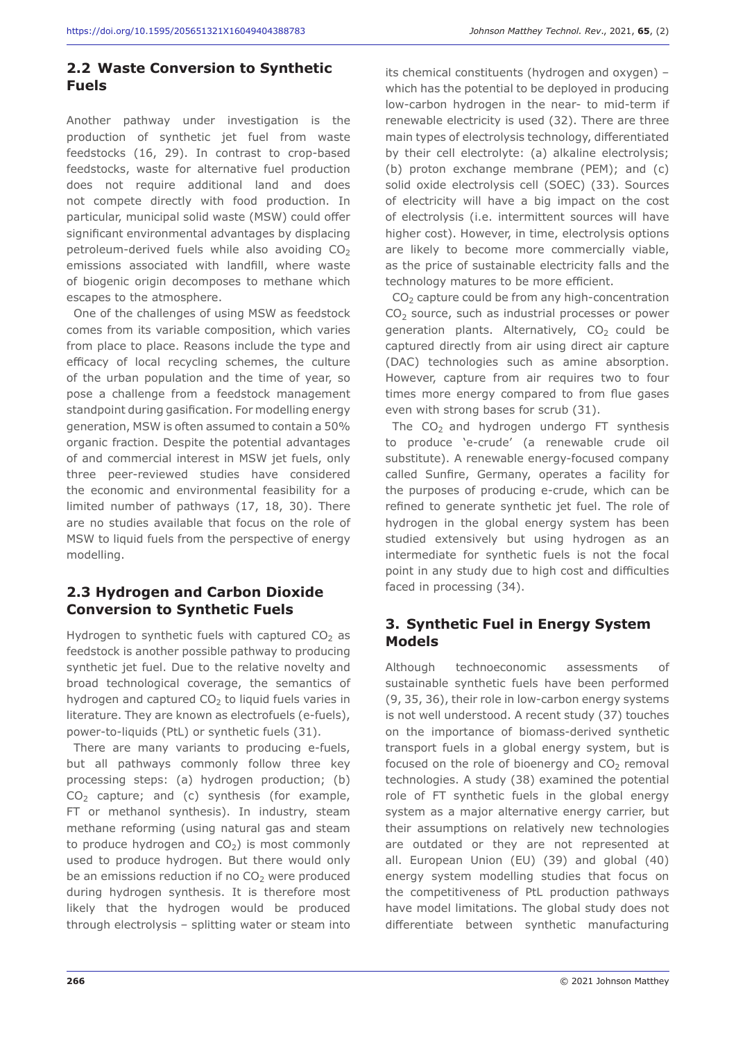#### **2.2 Waste Conversion to Synthetic Fuels**

Another pathway under investigation is the production of synthetic jet fuel from waste feedstocks (16, 29). In contrast to crop-based feedstocks, waste for alternative fuel production does not require additional land and does not compete directly with food production. In particular, municipal solid waste (MSW) could offer significant environmental advantages by displacing petroleum-derived fuels while also avoiding  $CO<sub>2</sub>$ emissions associated with landfill, where waste of biogenic origin decomposes to methane which escapes to the atmosphere.

One of the challenges of using MSW as feedstock comes from its variable composition, which varies from place to place. Reasons include the type and efficacy of local recycling schemes, the culture of the urban population and the time of year, so pose a challenge from a feedstock management standpoint during gasification. For modelling energy generation, MSW is often assumed to contain a 50% organic fraction. Despite the potential advantages of and commercial interest in MSW jet fuels, only three peer-reviewed studies have considered the economic and environmental feasibility for a limited number of pathways (17, 18, 30). There are no studies available that focus on the role of MSW to liquid fuels from the perspective of energy modelling.

# **2.3 Hydrogen and Carbon Dioxide Conversion to Synthetic Fuels**

Hydrogen to synthetic fuels with captured  $CO<sub>2</sub>$  as feedstock is another possible pathway to producing synthetic jet fuel. Due to the relative novelty and broad technological coverage, the semantics of hydrogen and captured  $CO<sub>2</sub>$  to liquid fuels varies in literature. They are known as electrofuels (e-fuels), power-to-liquids (PtL) or synthetic fuels (31).

There are many variants to producing e-fuels, but all pathways commonly follow three key processing steps: (a) hydrogen production; (b)  $CO<sub>2</sub>$  capture; and (c) synthesis (for example, FT or methanol synthesis). In industry, steam methane reforming (using natural gas and steam to produce hydrogen and  $CO<sub>2</sub>$ ) is most commonly used to produce hydrogen. But there would only be an emissions reduction if no  $CO<sub>2</sub>$  were produced during hydrogen synthesis. It is therefore most likely that the hydrogen would be produced through electrolysis – splitting water or steam into

its chemical constituents (hydrogen and oxygen) – which has the potential to be deployed in producing low-carbon hydrogen in the near- to mid-term if renewable electricity is used (32). There are three main types of electrolysis technology, differentiated by their cell electrolyte: (a) alkaline electrolysis; (b) proton exchange membrane (PEM); and (c) solid oxide electrolysis cell (SOEC) (33). Sources of electricity will have a big impact on the cost of electrolysis (i.e. intermittent sources will have higher cost). However, in time, electrolysis options are likely to become more commercially viable, as the price of sustainable electricity falls and the technology matures to be more efficient.

 $CO<sub>2</sub>$  capture could be from any high-concentration CO<sub>2</sub> source, such as industrial processes or power generation plants. Alternatively,  $CO<sub>2</sub>$  could be captured directly from air using direct air capture (DAC) technologies such as amine absorption. However, capture from air requires two to four times more energy compared to from flue gases even with strong bases for scrub (31).

The  $CO<sub>2</sub>$  and hydrogen undergo FT synthesis to produce 'e-crude' (a renewable crude oil substitute). A renewable energy-focused company called Sunfire, Germany, operates a facility for the purposes of producing e-crude, which can be refined to generate synthetic jet fuel. The role of hydrogen in the global energy system has been studied extensively but using hydrogen as an intermediate for synthetic fuels is not the focal point in any study due to high cost and difficulties faced in processing (34).

# **3. Synthetic Fuel in Energy System Models**

Although technoeconomic assessments of sustainable synthetic fuels have been performed (9, 35, 36), their role in low-carbon energy systems is not well understood. A recent study (37) touches on the importance of biomass-derived synthetic transport fuels in a global energy system, but is focused on the role of bioenergy and  $CO<sub>2</sub>$  removal technologies. A study (38) examined the potential role of FT synthetic fuels in the global energy system as a major alternative energy carrier, but their assumptions on relatively new technologies are outdated or they are not represented at all. European Union (EU) (39) and global (40) energy system modelling studies that focus on the competitiveness of PtL production pathways have model limitations. The global study does not differentiate between synthetic manufacturing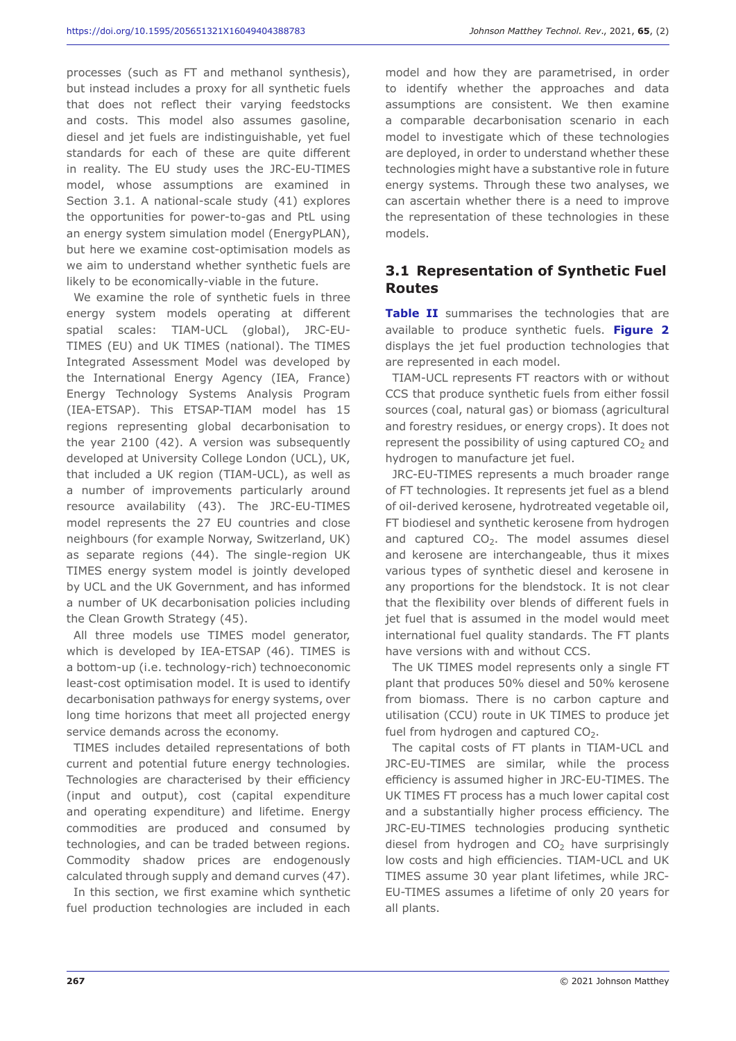processes (such as FT and methanol synthesis), but instead includes a proxy for all synthetic fuels that does not reflect their varying feedstocks and costs. This model also assumes gasoline, diesel and jet fuels are indistinguishable, yet fuel standards for each of these are quite different in reality. The EU study uses the JRC-EU-TIMES model, whose assumptions are examined in Section 3.1. A national-scale study (41) explores the opportunities for power-to-gas and PtL using an energy system simulation model (EnergyPLAN), but here we examine cost-optimisation models as we aim to understand whether synthetic fuels are likely to be economically-viable in the future.

We examine the role of synthetic fuels in three energy system models operating at different spatial scales: TIAM-UCL (global), JRC-EU-TIMES (EU) and UK TIMES (national). The TIMES Integrated Assessment Model was developed by the International Energy Agency (IEA, France) Energy Technology Systems Analysis Program (IEA-ETSAP). This ETSAP-TIAM model has 15 regions representing global decarbonisation to the year 2100 (42). A version was subsequently developed at University College London (UCL), UK, that included a UK region (TIAM-UCL), as well as a number of improvements particularly around resource availability (43). The JRC-EU-TIMES model represents the 27 EU countries and close neighbours (for example Norway, Switzerland, UK) as separate regions (44). The single-region UK TIMES energy system model is jointly developed by UCL and the UK Government, and has informed a number of UK decarbonisation policies including the Clean Growth Strategy (45).

All three models use TIMES model generator, which is developed by IEA-ETSAP (46). TIMES is a bottom-up (i.e. technology-rich) technoeconomic least-cost optimisation model. It is used to identify decarbonisation pathways for energy systems, over long time horizons that meet all projected energy service demands across the economy.

TIMES includes detailed representations of both current and potential future energy technologies. Technologies are characterised by their efficiency (input and output), cost (capital expenditure and operating expenditure) and lifetime. Energy commodities are produced and consumed by technologies, and can be traded between regions. Commodity shadow prices are endogenously calculated through supply and demand curves (47).

In this section, we first examine which synthetic fuel production technologies are included in each model and how they are parametrised, in order to identify whether the approaches and data assumptions are consistent. We then examine a comparable decarbonisation scenario in each model to investigate which of these technologies are deployed, in order to understand whether these technologies might have a substantive role in future energy systems. Through these two analyses, we can ascertain whether there is a need to improve the representation of these technologies in these models.

### **3.1 Representation of Synthetic Fuel Routes**

**Table II** summarises the technologies that are available to produce synthetic fuels. **Figure 2** displays the jet fuel production technologies that are represented in each model.

TIAM-UCL represents FT reactors with or without CCS that produce synthetic fuels from either fossil sources (coal, natural gas) or biomass (agricultural and forestry residues, or energy crops). It does not represent the possibility of using captured  $CO<sub>2</sub>$  and hydrogen to manufacture jet fuel.

JRC-EU-TIMES represents a much broader range of FT technologies. It represents jet fuel as a blend of oil-derived kerosene, hydrotreated vegetable oil, FT biodiesel and synthetic kerosene from hydrogen and captured  $CO<sub>2</sub>$ . The model assumes diesel and kerosene are interchangeable, thus it mixes various types of synthetic diesel and kerosene in any proportions for the blendstock. It is not clear that the flexibility over blends of different fuels in jet fuel that is assumed in the model would meet international fuel quality standards. The FT plants have versions with and without CCS.

The UK TIMES model represents only a single FT plant that produces 50% diesel and 50% kerosene from biomass. There is no carbon capture and utilisation (CCU) route in UK TIMES to produce jet fuel from hydrogen and captured  $CO<sub>2</sub>$ .

The capital costs of FT plants in TIAM-UCL and JRC-EU-TIMES are similar, while the process efficiency is assumed higher in JRC-EU-TIMES. The UK TIMES FT process has a much lower capital cost and a substantially higher process efficiency. The JRC-EU-TIMES technologies producing synthetic diesel from hydrogen and  $CO<sub>2</sub>$  have surprisingly low costs and high efficiencies. TIAM-UCL and UK TIMES assume 30 year plant lifetimes, while JRC-EU-TIMES assumes a lifetime of only 20 years for all plants.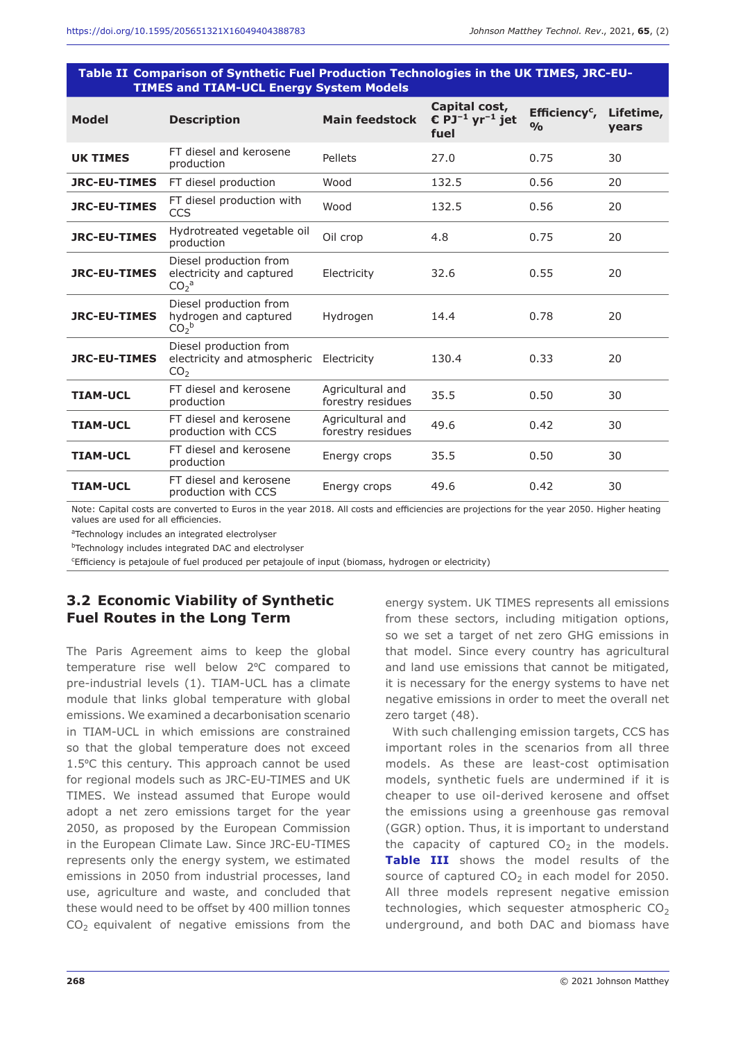| <b>TIMES and TIAM-UCL Energy System Models</b> |                                                                                    |                                       |                                                                             |                                            |                    |  |  |
|------------------------------------------------|------------------------------------------------------------------------------------|---------------------------------------|-----------------------------------------------------------------------------|--------------------------------------------|--------------------|--|--|
| <b>Model</b>                                   | <b>Description</b>                                                                 | <b>Main feedstock</b>                 | Capital cost,<br>$\mathbf{C}$ PJ <sup>-1</sup> yr <sup>-1</sup> jet<br>fuel | Efficiency <sup>c</sup> ,<br>$\frac{0}{0}$ | Lifetime,<br>vears |  |  |
| <b>UK TIMES</b>                                | FT diesel and kerosene<br>production                                               | Pellets                               | 27.0                                                                        | 0.75                                       | 30                 |  |  |
| <b>JRC-EU-TIMES</b>                            | FT diesel production                                                               | Wood                                  | 132.5                                                                       | 0.56                                       | 20                 |  |  |
| <b>JRC-EU-TIMES</b>                            | FT diesel production with<br><b>CCS</b>                                            | Wood                                  | 132.5                                                                       | 0.56                                       | 20                 |  |  |
| <b>JRC-EU-TIMES</b>                            | Hydrotreated vegetable oil<br>production                                           | Oil crop                              | 4.8                                                                         | 0.75                                       | 20                 |  |  |
| <b>JRC-EU-TIMES</b>                            | Diesel production from<br>electricity and captured<br>CO <sub>2</sub> <sup>a</sup> | Electricity                           | 32.6                                                                        | 0.55                                       | 20                 |  |  |
| <b>JRC-EU-TIMES</b>                            | Diesel production from<br>hydrogen and captured<br>$CO2$ <sub>b</sub>              | Hydrogen                              | 14.4                                                                        | 0.78                                       | 20                 |  |  |
| <b>JRC-EU-TIMES</b>                            | Diesel production from<br>electricity and atmospheric<br>CO <sub>2</sub>           | Electricity                           | 130.4                                                                       | 0.33                                       | 20                 |  |  |
| <b>TIAM-UCL</b>                                | FT diesel and kerosene<br>production                                               | Agricultural and<br>forestry residues | 35.5                                                                        | 0.50                                       | 30                 |  |  |
| <b>TIAM-UCL</b>                                | FT diesel and kerosene<br>production with CCS                                      | Agricultural and<br>forestry residues | 49.6                                                                        | 0.42                                       | 30                 |  |  |
| <b>TIAM-UCL</b>                                | FT diesel and kerosene<br>production                                               | Energy crops                          | 35.5                                                                        | 0.50                                       | 30                 |  |  |
| <b>TIAM-UCL</b>                                | FT diesel and kerosene<br>production with CCS                                      | Energy crops                          | 49.6                                                                        | 0.42                                       | 30                 |  |  |

**Table II Comparison of Synthetic Fuel Production Technologies in the UK TIMES, JRC-EU-**

Note: Capital costs are converted to Euros in the year 2018. All costs and efficiencies are projections for the year 2050. Higher heating values are used for all efficiencies.

aTechnology includes an integrated electrolyser

**bTechnology includes integrated DAC and electrolyser** 

Efficiency is petajoule of fuel produced per petajoule of input (biomass, hydrogen or electricity)

# **3.2 Economic Viability of Synthetic Fuel Routes in the Long Term**

The Paris Agreement aims to keep the global temperature rise well below 2ºC compared to pre-industrial levels (1). TIAM-UCL has a climate module that links global temperature with global emissions. We examined a decarbonisation scenario in TIAM-UCL in which emissions are constrained so that the global temperature does not exceed 1.5ºC this century. This approach cannot be used for regional models such as JRC-EU-TIMES and UK TIMES. We instead assumed that Europe would adopt a net zero emissions target for the year 2050, as proposed by the European Commission in the European Climate Law. Since JRC-EU-TIMES represents only the energy system, we estimated emissions in 2050 from industrial processes, land use, agriculture and waste, and concluded that these would need to be offset by 400 million tonnes  $CO<sub>2</sub>$  equivalent of negative emissions from the

energy system. UK TIMES represents all emissions from these sectors, including mitigation options, so we set a target of net zero GHG emissions in that model. Since every country has agricultural and land use emissions that cannot be mitigated, it is necessary for the energy systems to have net negative emissions in order to meet the overall net zero target (48).

With such challenging emission targets, CCS has important roles in the scenarios from all three models. As these are least-cost optimisation models, synthetic fuels are undermined if it is cheaper to use oil-derived kerosene and offset the emissions using a greenhouse gas removal (GGR) option. Thus, it is important to understand the capacity of captured  $CO<sub>2</sub>$  in the models. **Table III** shows the model results of the source of captured  $CO<sub>2</sub>$  in each model for 2050. All three models represent negative emission technologies, which sequester atmospheric  $CO<sub>2</sub>$ underground, and both DAC and biomass have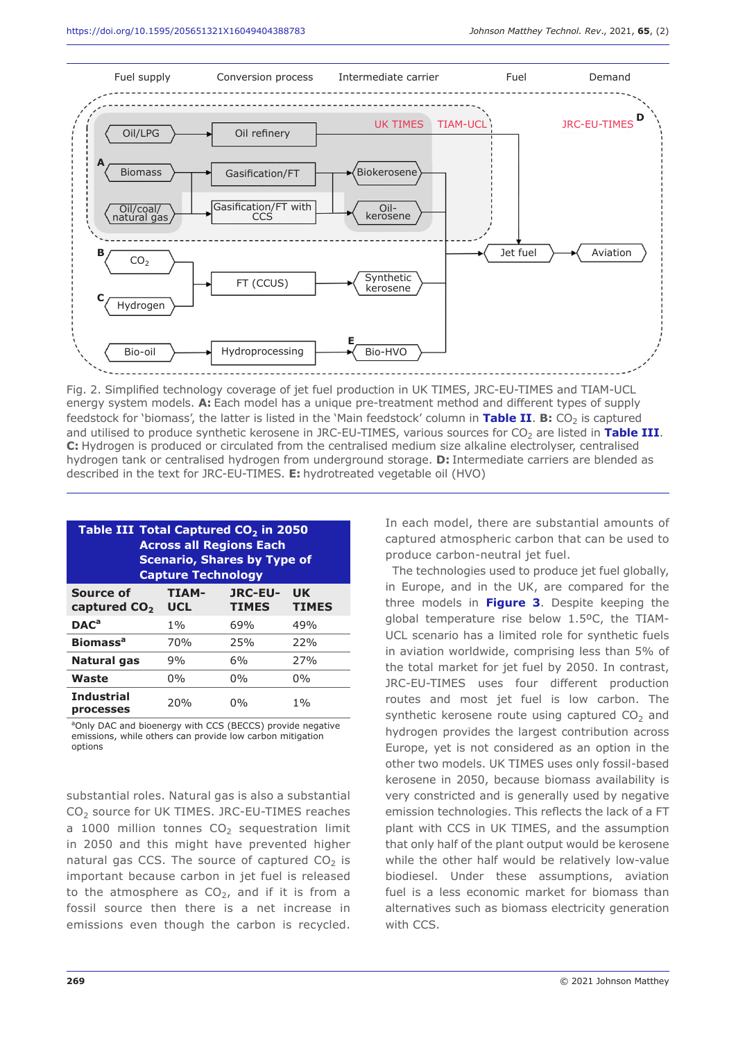

Fig. 2. Simplified technology coverage of jet fuel production in UK TIMES, JRC-EU-TIMES and TIAM-UCL energy system models. **A:** Each model has a unique pre-treatment method and different types of supply feedstock for 'biomass', the latter is listed in the 'Main feedstock' column in Table II. B: CO<sub>2</sub> is captured and utilised to produce synthetic kerosene in JRC-EU-TIMES, various sources for CO<sub>2</sub> are listed in Table III. **C:** Hydrogen is produced or circulated from the centralised medium size alkaline electrolyser, centralised hydrogen tank or centralised hydrogen from underground storage. **D:** Intermediate carriers are blended as described in the text for JRC-EU-TIMES. **E:** hydrotreated vegetable oil (HVO)

| Table III Total Captured CO <sub>2</sub> in 2050<br><b>Across all Regions Each</b><br><b>Scenario, Shares by Type of</b><br><b>Capture Technology</b> |                            |                                |                           |  |  |  |
|-------------------------------------------------------------------------------------------------------------------------------------------------------|----------------------------|--------------------------------|---------------------------|--|--|--|
| Source of<br>captured CO <sub>2</sub>                                                                                                                 | <b>TIAM-</b><br><b>UCL</b> | <b>JRC-EU-</b><br><b>TIMES</b> | <b>UK</b><br><b>TIMES</b> |  |  |  |
| $DAC^a$                                                                                                                                               | $1\%$                      | 69%                            | 49%                       |  |  |  |
| <b>Biomass<sup>a</sup></b>                                                                                                                            | 70 <sub>%</sub>            | 25%                            | 22%                       |  |  |  |
| Natural gas                                                                                                                                           | 9%                         | 6%                             | 27%                       |  |  |  |
| Waste                                                                                                                                                 | $0\%$                      | $0\%$                          | $0\%$                     |  |  |  |
| <b>Industrial</b><br><b>processes</b>                                                                                                                 | 20%                        | $0\%$                          | $1\%$                     |  |  |  |

<sup>a</sup>Only DAC and bioenergy with CCS (BECCS) provide negative emissions, while others can provide low carbon mitigation options

substantial roles. Natural gas is also a substantial CO<sub>2</sub> source for UK TIMES. JRC-EU-TIMES reaches a 1000 million tonnes  $CO<sub>2</sub>$  sequestration limit in 2050 and this might have prevented higher natural gas CCS. The source of captured  $CO<sub>2</sub>$  is important because carbon in jet fuel is released to the atmosphere as  $CO<sub>2</sub>$ , and if it is from a fossil source then there is a net increase in emissions even though the carbon is recycled.

In each model, there are substantial amounts of captured atmospheric carbon that can be used to produce carbon-neutral jet fuel.

The technologies used to produce jet fuel globally, in Europe, and in the UK, are compared for the three models in **Figure 3**. Despite keeping the global temperature rise below 1.5ºC, the TIAM-UCL scenario has a limited role for synthetic fuels in aviation worldwide, comprising less than 5% of the total market for jet fuel by 2050. In contrast, JRC-EU-TIMES uses four different production routes and most jet fuel is low carbon. The synthetic kerosene route using captured  $CO<sub>2</sub>$  and hydrogen provides the largest contribution across Europe, yet is not considered as an option in the other two models. UK TIMES uses only fossil-based kerosene in 2050, because biomass availability is very constricted and is generally used by negative emission technologies. This reflects the lack of a FT plant with CCS in UK TIMES, and the assumption that only half of the plant output would be kerosene while the other half would be relatively low-value biodiesel. Under these assumptions, aviation fuel is a less economic market for biomass than alternatives such as biomass electricity generation with CCS.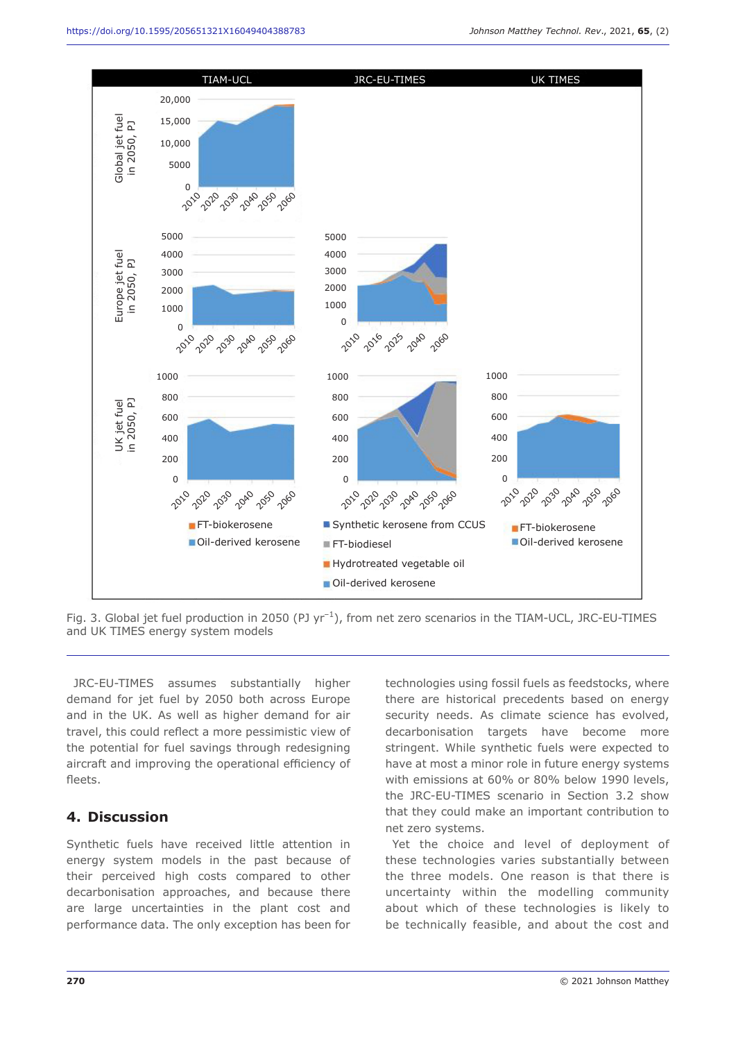

Fig. 3. Global jet fuel production in 2050 (PJ yr<sup>-1</sup>), from net zero scenarios in the TIAM-UCL, JRC-EU-TIMES and UK TIMES energy system models

JRC-EU-TIMES assumes substantially higher demand for jet fuel by 2050 both across Europe and in the UK. As well as higher demand for air travel, this could reflect a more pessimistic view of the potential for fuel savings through redesigning aircraft and improving the operational efficiency of fleets.

#### **4. Discussion**

Synthetic fuels have received little attention in energy system models in the past because of their perceived high costs compared to other decarbonisation approaches, and because there are large uncertainties in the plant cost and performance data. The only exception has been for technologies using fossil fuels as feedstocks, where there are historical precedents based on energy security needs. As climate science has evolved, decarbonisation targets have become more stringent. While synthetic fuels were expected to have at most a minor role in future energy systems with emissions at 60% or 80% below 1990 levels, the JRC-EU-TIMES scenario in Section 3.2 show that they could make an important contribution to net zero systems.

Yet the choice and level of deployment of these technologies varies substantially between the three models. One reason is that there is uncertainty within the modelling community about which of these technologies is likely to be technically feasible, and about the cost and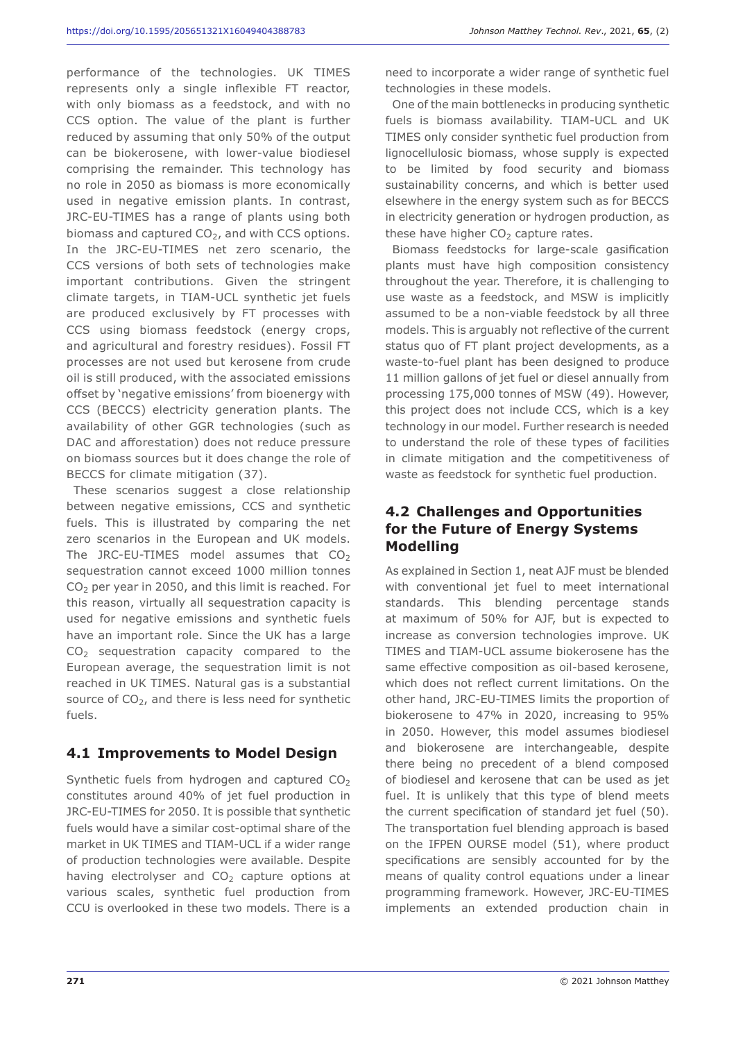performance of the technologies. UK TIMES represents only a single inflexible FT reactor, with only biomass as a feedstock, and with no CCS option. The value of the plant is further reduced by assuming that only 50% of the output can be biokerosene, with lower-value biodiesel comprising the remainder. This technology has no role in 2050 as biomass is more economically used in negative emission plants. In contrast, JRC-EU-TIMES has a range of plants using both biomass and captured  $CO<sub>2</sub>$ , and with CCS options. In the JRC-EU-TIMES net zero scenario, the CCS versions of both sets of technologies make important contributions. Given the stringent climate targets, in TIAM-UCL synthetic jet fuels are produced exclusively by FT processes with CCS using biomass feedstock (energy crops, and agricultural and forestry residues). Fossil FT processes are not used but kerosene from crude oil is still produced, with the associated emissions offset by 'negative emissions' from bioenergy with CCS (BECCS) electricity generation plants. The availability of other GGR technologies (such as DAC and afforestation) does not reduce pressure on biomass sources but it does change the role of BECCS for climate mitigation (37).

These scenarios suggest a close relationship between negative emissions, CCS and synthetic fuels. This is illustrated by comparing the net zero scenarios in the European and UK models. The JRC-EU-TIMES model assumes that  $CO<sub>2</sub>$ sequestration cannot exceed 1000 million tonnes CO2 per year in 2050, and this limit is reached. For this reason, virtually all sequestration capacity is used for negative emissions and synthetic fuels have an important role. Since the UK has a large CO<sub>2</sub> sequestration capacity compared to the European average, the sequestration limit is not reached in UK TIMES. Natural gas is a substantial source of  $CO<sub>2</sub>$ , and there is less need for synthetic fuels.

#### **4.1 Improvements to Model Design**

Synthetic fuels from hydrogen and captured  $CO<sub>2</sub>$ constitutes around 40% of jet fuel production in JRC-EU-TIMES for 2050. It is possible that synthetic fuels would have a similar cost-optimal share of the market in UK TIMES and TIAM-UCL if a wider range of production technologies were available. Despite having electrolyser and  $CO<sub>2</sub>$  capture options at various scales, synthetic fuel production from CCU is overlooked in these two models. There is a

need to incorporate a wider range of synthetic fuel technologies in these models.

One of the main bottlenecks in producing synthetic fuels is biomass availability. TIAM-UCL and UK TIMES only consider synthetic fuel production from lignocellulosic biomass, whose supply is expected to be limited by food security and biomass sustainability concerns, and which is better used elsewhere in the energy system such as for BECCS in electricity generation or hydrogen production, as these have higher  $CO<sub>2</sub>$  capture rates.

Biomass feedstocks for large-scale gasification plants must have high composition consistency throughout the year. Therefore, it is challenging to use waste as a feedstock, and MSW is implicitly assumed to be a non-viable feedstock by all three models. This is arguably not reflective of the current status quo of FT plant project developments, as a waste-to-fuel plant has been designed to produce 11 million gallons of jet fuel or diesel annually from processing 175,000 tonnes of MSW (49). However, this project does not include CCS, which is a key technology in our model. Further research is needed to understand the role of these types of facilities in climate mitigation and the competitiveness of waste as feedstock for synthetic fuel production.

# **4.2 Challenges and Opportunities for the Future of Energy Systems Modelling**

As explained in Section 1, neat AJF must be blended with conventional jet fuel to meet international standards. This blending percentage stands at maximum of 50% for AJF, but is expected to increase as conversion technologies improve. UK TIMES and TIAM-UCL assume biokerosene has the same effective composition as oil-based kerosene, which does not reflect current limitations. On the other hand, JRC-EU-TIMES limits the proportion of biokerosene to 47% in 2020, increasing to 95% in 2050. However, this model assumes biodiesel and biokerosene are interchangeable, despite there being no precedent of a blend composed of biodiesel and kerosene that can be used as jet fuel. It is unlikely that this type of blend meets the current specification of standard jet fuel (50). The transportation fuel blending approach is based on the IFPEN OURSE model (51), where product specifications are sensibly accounted for by the means of quality control equations under a linear programming framework. However, JRC-EU-TIMES implements an extended production chain in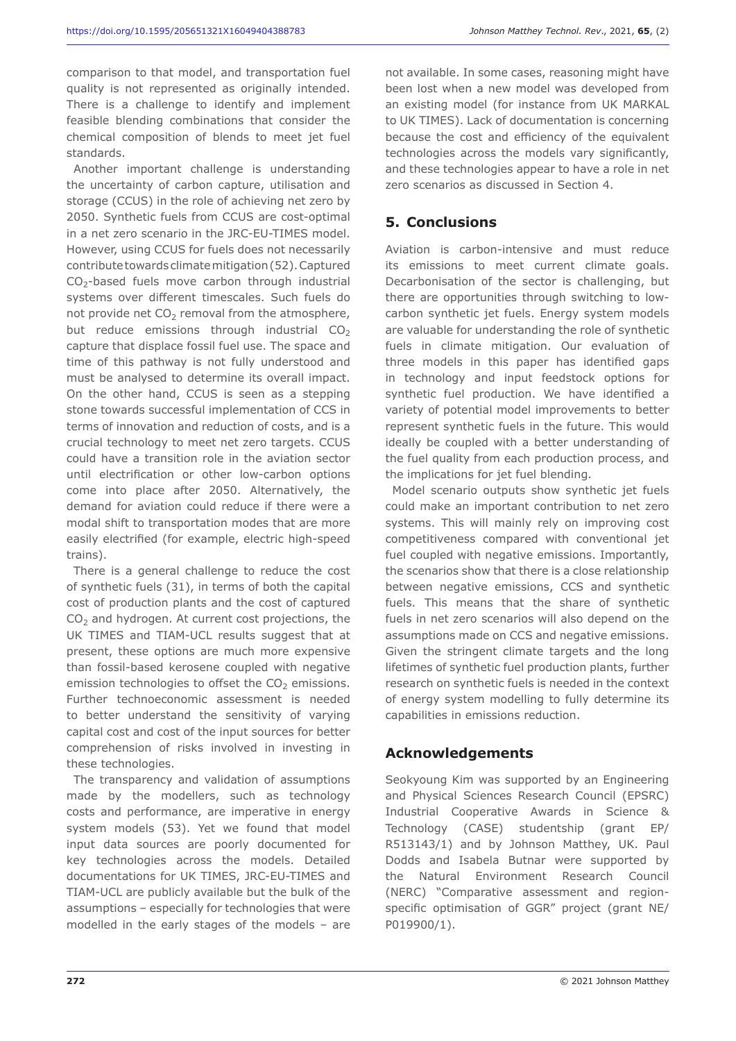comparison to that model, and transportation fuel quality is not represented as originally intended. There is a challenge to identify and implement feasible blending combinations that consider the chemical composition of blends to meet jet fuel standards.

Another important challenge is understanding the uncertainty of carbon capture, utilisation and storage (CCUS) in the role of achieving net zero by 2050. Synthetic fuels from CCUS are cost-optimal in a net zero scenario in the JRC-EU-TIMES model. However, using CCUS for fuels does not necessarily contribute towards climate mitigation (52). Captured  $CO<sub>2</sub>$ -based fuels move carbon through industrial systems over different timescales. Such fuels do not provide net  $CO<sub>2</sub>$  removal from the atmosphere, but reduce emissions through industrial  $CO<sub>2</sub>$ capture that displace fossil fuel use. The space and time of this pathway is not fully understood and must be analysed to determine its overall impact. On the other hand, CCUS is seen as a stepping stone towards successful implementation of CCS in terms of innovation and reduction of costs, and is a crucial technology to meet net zero targets. CCUS could have a transition role in the aviation sector until electrification or other low-carbon options come into place after 2050. Alternatively, the demand for aviation could reduce if there were a modal shift to transportation modes that are more easily electrified (for example, electric high-speed trains).

There is a general challenge to reduce the cost of synthetic fuels (31), in terms of both the capital cost of production plants and the cost of captured  $CO<sub>2</sub>$  and hydrogen. At current cost projections, the UK TIMES and TIAM-UCL results suggest that at present, these options are much more expensive than fossil-based kerosene coupled with negative emission technologies to offset the  $CO<sub>2</sub>$  emissions. Further technoeconomic assessment is needed to better understand the sensitivity of varying capital cost and cost of the input sources for better comprehension of risks involved in investing in these technologies.

The transparency and validation of assumptions made by the modellers, such as technology costs and performance, are imperative in energy system models (53). Yet we found that model input data sources are poorly documented for key technologies across the models. Detailed documentations for UK TIMES, JRC-EU-TIMES and TIAM-UCL are publicly available but the bulk of the assumptions – especially for technologies that were modelled in the early stages of the models – are not available. In some cases, reasoning might have been lost when a new model was developed from an existing model (for instance from UK MARKAL to UK TIMES). Lack of documentation is concerning because the cost and efficiency of the equivalent technologies across the models vary significantly, and these technologies appear to have a role in net zero scenarios as discussed in Section 4.

# **5. Conclusions**

Aviation is carbon-intensive and must reduce its emissions to meet current climate goals. Decarbonisation of the sector is challenging, but there are opportunities through switching to lowcarbon synthetic jet fuels. Energy system models are valuable for understanding the role of synthetic fuels in climate mitigation. Our evaluation of three models in this paper has identified gaps in technology and input feedstock options for synthetic fuel production. We have identified a variety of potential model improvements to better represent synthetic fuels in the future. This would ideally be coupled with a better understanding of the fuel quality from each production process, and the implications for jet fuel blending.

Model scenario outputs show synthetic jet fuels could make an important contribution to net zero systems. This will mainly rely on improving cost competitiveness compared with conventional jet fuel coupled with negative emissions. Importantly, the scenarios show that there is a close relationship between negative emissions, CCS and synthetic fuels. This means that the share of synthetic fuels in net zero scenarios will also depend on the assumptions made on CCS and negative emissions. Given the stringent climate targets and the long lifetimes of synthetic fuel production plants, further research on synthetic fuels is needed in the context of energy system modelling to fully determine its capabilities in emissions reduction.

#### **Acknowledgements**

Seokyoung Kim was supported by an Engineering and Physical Sciences Research Council (EPSRC) Industrial Cooperative Awards in Science & Technology (CASE) studentship (grant EP/ R513143/1) and by Johnson Matthey, UK. Paul Dodds and Isabela Butnar were supported by the Natural Environment Research Council (NERC) "Comparative assessment and regionspecific optimisation of GGR" project (grant NE/ P019900/1).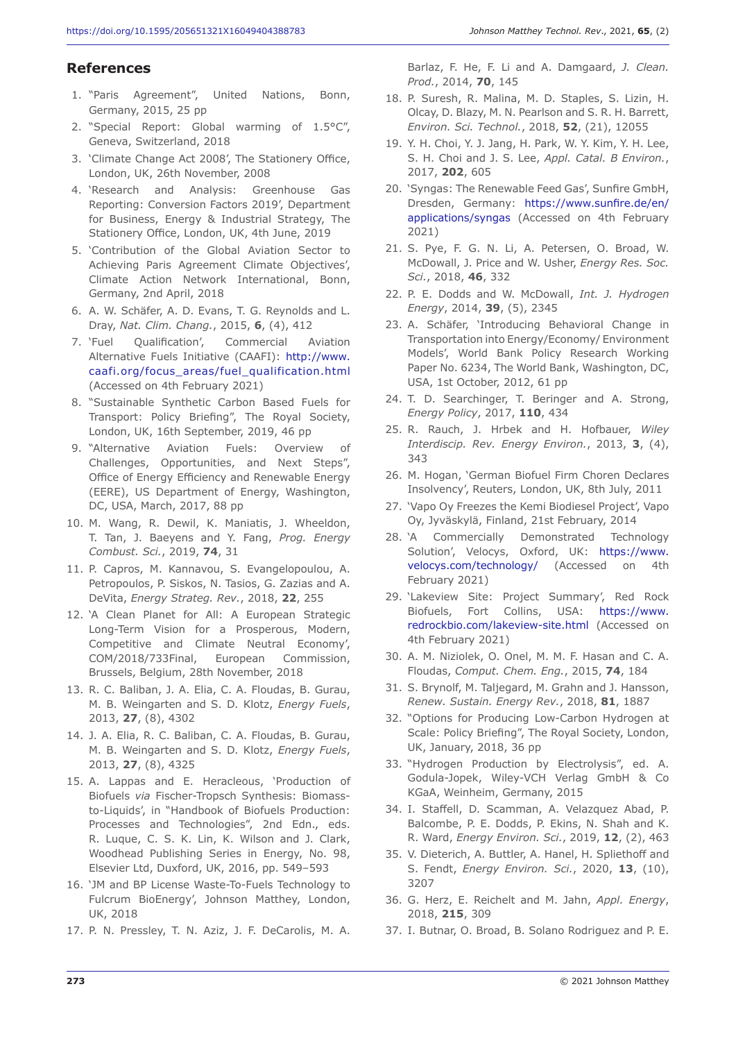#### **References**

- 1. "Paris Agreement", United Nations, Bonn, Germany, 2015, 25 pp
- 2. "Special Report: Global warming of 1.5°C", Geneva, Switzerland, 2018
- 3. 'Climate Change Act 2008', The Stationery Office, London, UK, 26th November, 2008
- 4. 'Research and Analysis: Greenhouse Gas Reporting: Conversion Factors 2019', Department for Business, Energy & Industrial Strategy, The Stationery Office, London, UK, 4th June, 2019
- 5. 'Contribution of the Global Aviation Sector to Achieving Paris Agreement Climate Objectives', Climate Action Network International, Bonn, Germany, 2nd April, 2018
- 6. A. W. Schäfer, A. D. Evans, T. G. Reynolds and L. Dray, *Nat. Clim. Chang.*, 2015, **6**, (4), 412
- 7. 'Fuel Qualification', Commercial Aviation Alternative Fuels Initiative (CAAFI): http://www. caafi.org/focus\_areas/fuel\_qualification.html (Accessed on 4th February 2021)
- 8. "Sustainable Synthetic Carbon Based Fuels for Transport: Policy Briefing", The Royal Society, London, UK, 16th September, 2019, 46 pp
- 9. "Alternative Aviation Fuels: Overview of Challenges, Opportunities, and Next Steps", Office of Energy Efficiency and Renewable Energy (EERE), US Department of Energy, Washington, DC, USA, March, 2017, 88 pp
- 10. M. Wang, R. Dewil, K. Maniatis, J. Wheeldon, T. Tan, J. Baeyens and Y. Fang, *Prog. Energy Combust. Sci.*, 2019, **74**, 31
- 11. P. Capros, M. Kannavou, S. Evangelopoulou, A. Petropoulos, P. Siskos, N. Tasios, G. Zazias and A. DeVita, *Energy Strateg. Rev.*, 2018, **22**, 255
- 12. 'A Clean Planet for All: A European Strategic Long-Term Vision for a Prosperous, Modern, Competitive and Climate Neutral Economy', COM/2018/733Final, European Commission, Brussels, Belgium, 28th November, 2018
- 13. R. C. Baliban, J. A. Elia, C. A. Floudas, B. Gurau, M. B. Weingarten and S. D. Klotz, *Energy Fuels*, 2013, **27**, (8), 4302
- 14. J. A. Elia, R. C. Baliban, C. A. Floudas, B. Gurau, M. B. Weingarten and S. D. Klotz, *Energy Fuels*, 2013, **27**, (8), 4325
- 15. A. Lappas and E. Heracleous, 'Production of Biofuels *via* Fischer-Tropsch Synthesis: Biomassto-Liquids', in "Handbook of Biofuels Production: Processes and Technologies", 2nd Edn., eds. R. Luque, C. S. K. Lin, K. Wilson and J. Clark, Woodhead Publishing Series in Energy, No. 98, Elsevier Ltd, Duxford, UK, 2016, pp. 549–593
- 16. 'JM and BP License Waste-To-Fuels Technology to Fulcrum BioEnergy', Johnson Matthey, London, UK, 2018
- 17. P. N. Pressley, T. N. Aziz, J. F. DeCarolis, M. A.

Barlaz, F. He, F. Li and A. Damgaard, *J. Clean. Prod.*, 2014, **70**, 145

- 18. P. Suresh, R. Malina, M. D. Staples, S. Lizin, H. Olcay, D. Blazy, M. N. Pearlson and S. R. H. Barrett, *Environ. Sci. Technol.*, 2018, **52**, (21), 12055
- 19. Y. H. Choi, Y. J. Jang, H. Park, W. Y. Kim, Y. H. Lee, S. H. Choi and J. S. Lee, *Appl. Catal. B Environ.*, 2017, **202**, 605
- 20. 'Syngas: The Renewable Feed Gas', Sunfire GmbH, Dresden, Germany: https://www.sunfire.de/en/ applications/syngas (Accessed on 4th February 2021)
- 21. S. Pye, F. G. N. Li, A. Petersen, O. Broad, W. McDowall, J. Price and W. Usher, *Energy Res. Soc. Sci.*, 2018, **46**, 332
- 22. P. E. Dodds and W. McDowall, *Int. J. Hydrogen Energy*, 2014, **39**, (5), 2345
- 23. A. Schäfer, 'Introducing Behavioral Change in Transportation into Energy/Economy/ Environment Models', World Bank Policy Research Working Paper No. 6234, The World Bank, Washington, DC, USA, 1st October, 2012, 61 pp
- 24. T. D. Searchinger, T. Beringer and A. Strong, *Energy Policy*, 2017, **110**, 434
- 25. R. Rauch, J. Hrbek and H. Hofbauer, *Wiley Interdiscip. Rev. Energy Environ.*, 2013, **3**, (4), 343
- 26. M. Hogan, 'German Biofuel Firm Choren Declares Insolvency', Reuters, London, UK, 8th July, 2011
- 27. 'Vapo Oy Freezes the Kemi Biodiesel Project', Vapo Oy, Jyväskylä, Finland, 21st February, 2014
- 28. 'A Commercially Demonstrated Technology Solution', Velocys, Oxford, UK: https://www. velocys.com/technology/ (Accessed on 4th February 2021)
- 29. 'Lakeview Site: Project Summary', Red Rock Biofuels, Fort Collins, USA: https://www. redrockbio.com/lakeview-site.html (Accessed on 4th February 2021)
- 30. A. M. Niziolek, O. Onel, M. M. F. Hasan and C. A. Floudas, *Comput. Chem. Eng.*, 2015, **74**, 184
- 31. S. Brynolf, M. Taljegard, M. Grahn and J. Hansson, *Renew. Sustain. Energy Rev.*, 2018, **81**, 1887
- 32. "Options for Producing Low-Carbon Hydrogen at Scale: Policy Briefing", The Royal Society, London, UK, January, 2018, 36 pp
- 33. "Hydrogen Production by Electrolysis", ed. A. Godula-Jopek, Wiley-VCH Verlag GmbH & Co KGaA, Weinheim, Germany, 2015
- 34. I. Staffell, D. Scamman, A. Velazquez Abad, P. Balcombe, P. E. Dodds, P. Ekins, N. Shah and K. R. Ward, *Energy Environ. Sci.*, 2019, **12**, (2), 463
- 35. V. Dieterich, A. Buttler, A. Hanel, H. Spliethoff and S. Fendt, *Energy Environ. Sci.*, 2020, **13**, (10), 3207
- 36. G. Herz, E. Reichelt and M. Jahn, *Appl. Energy*, 2018, **215**, 309
- 37. I. Butnar, O. Broad, B. Solano Rodriguez and P. E.